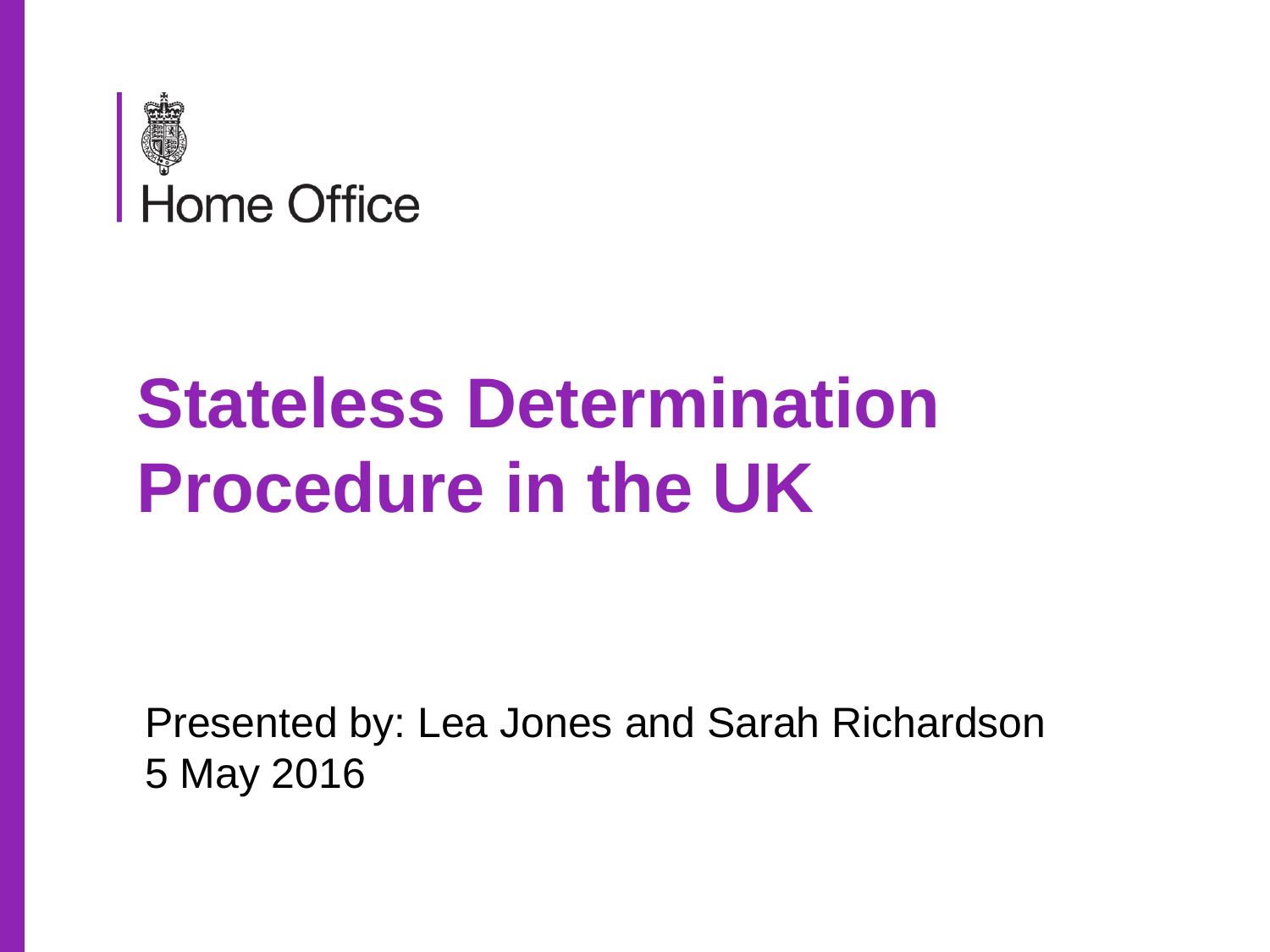

# **Stateless Determination Procedure in the UK**

Presented by: Lea Jones and Sarah Richardson 5 May 2016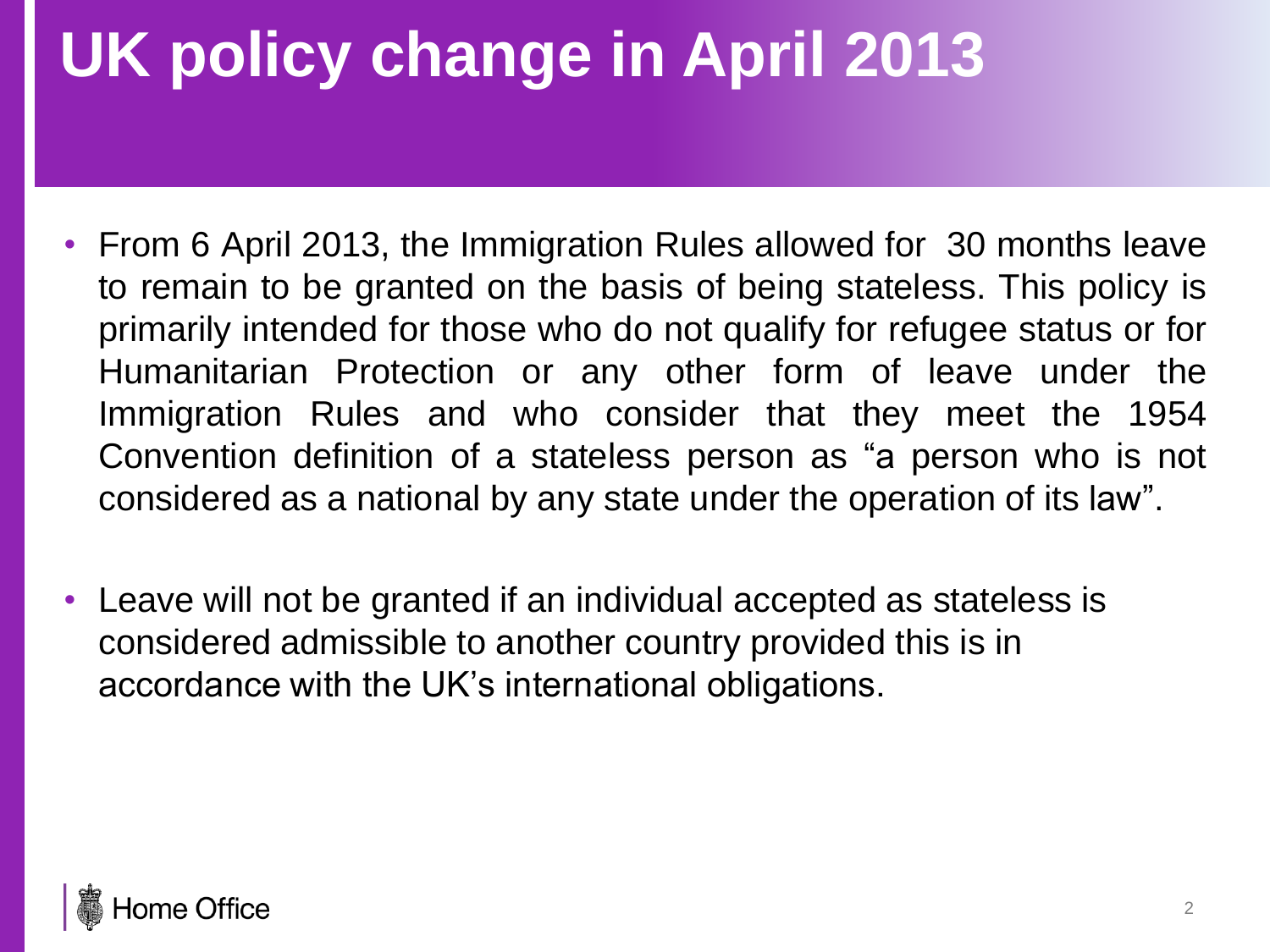## **UK policy change in April 2013**

- From 6 April 2013, the Immigration Rules allowed for 30 months leave to remain to be granted on the basis of being stateless. This policy is primarily intended for those who do not qualify for refugee status or for Humanitarian Protection or any other form of leave under the Immigration Rules and who consider that they meet the 1954 Convention definition of a stateless person as "a person who is not considered as a national by any state under the operation of its law".
- Leave will not be granted if an individual accepted as stateless is considered admissible to another country provided this is in accordance with the UK's international obligations.

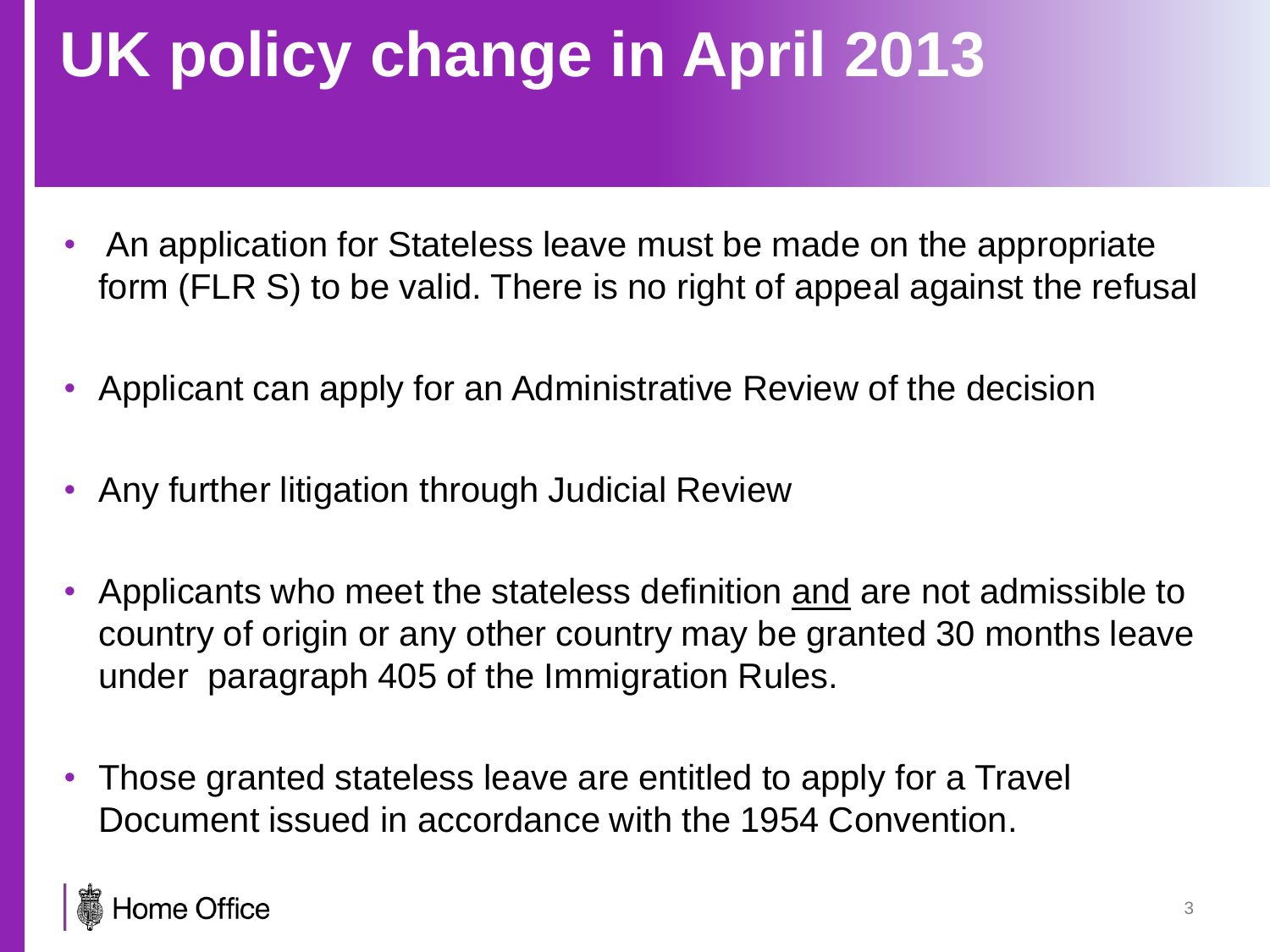## **UK policy change in April 2013**

- An application for Stateless leave must be made on the appropriate form (FLR S) to be valid. There is no right of appeal against the refusal
- Applicant can apply for an Administrative Review of the decision
- Any further litigation through Judicial Review
- Applicants who meet the stateless definition and are not admissible to country of origin or any other country may be granted 30 months leave under paragraph 405 of the Immigration Rules.
- Those granted stateless leave are entitled to apply for a Travel Document issued in accordance with the 1954 Convention.

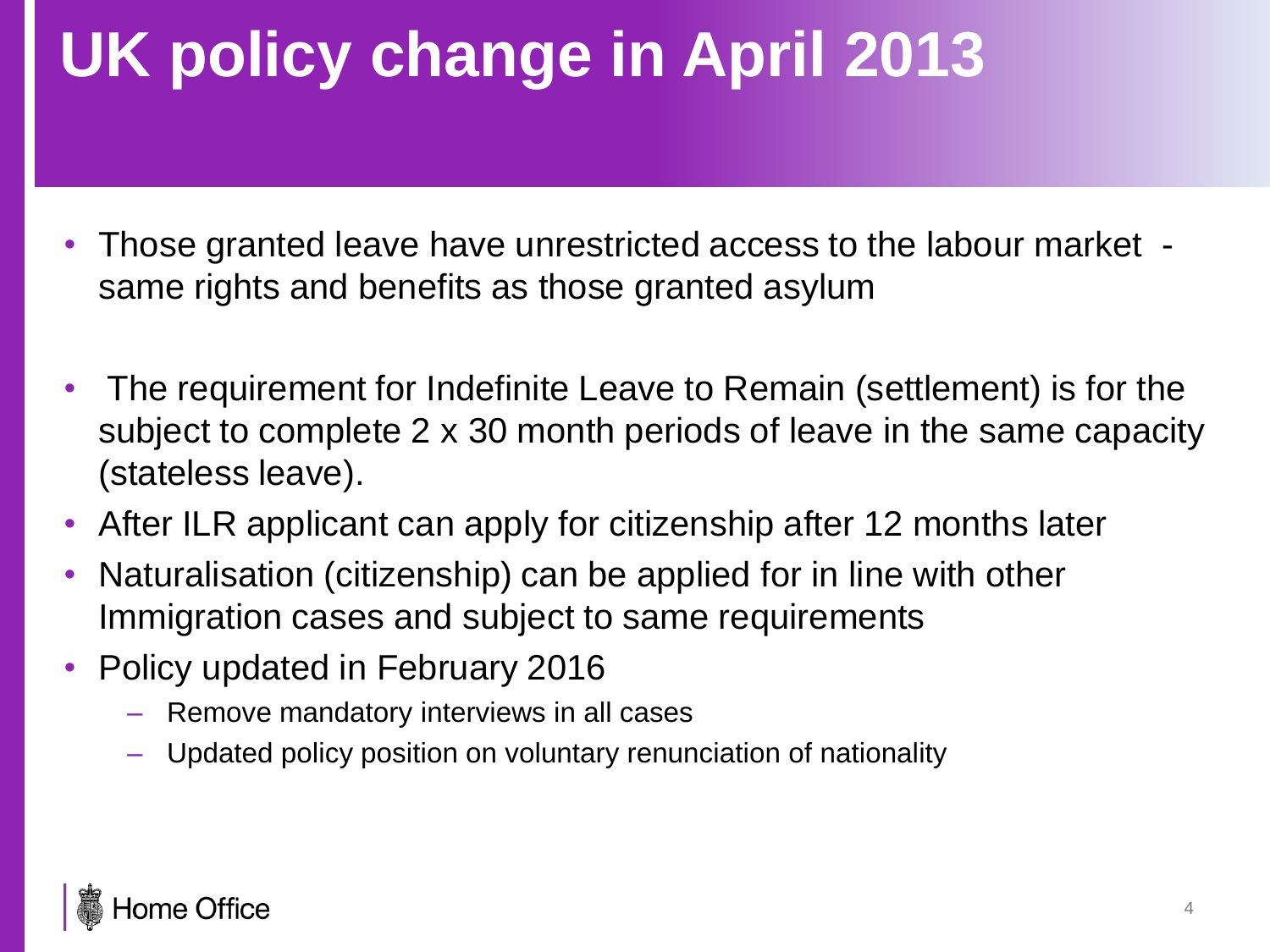## **UK policy change in April 2013**

- Those granted leave have unrestricted access to the labour market same rights and benefits as those granted asylum
- The requirement for Indefinite Leave to Remain (settlement) is for the subject to complete 2 x 30 month periods of leave in the same capacity (stateless leave).
- After ILR applicant can apply for citizenship after 12 months later
- Naturalisation (citizenship) can be applied for in line with other Immigration cases and subject to same requirements
- Policy updated in February 2016
	- Remove mandatory interviews in all cases
	- Updated policy position on voluntary renunciation of nationality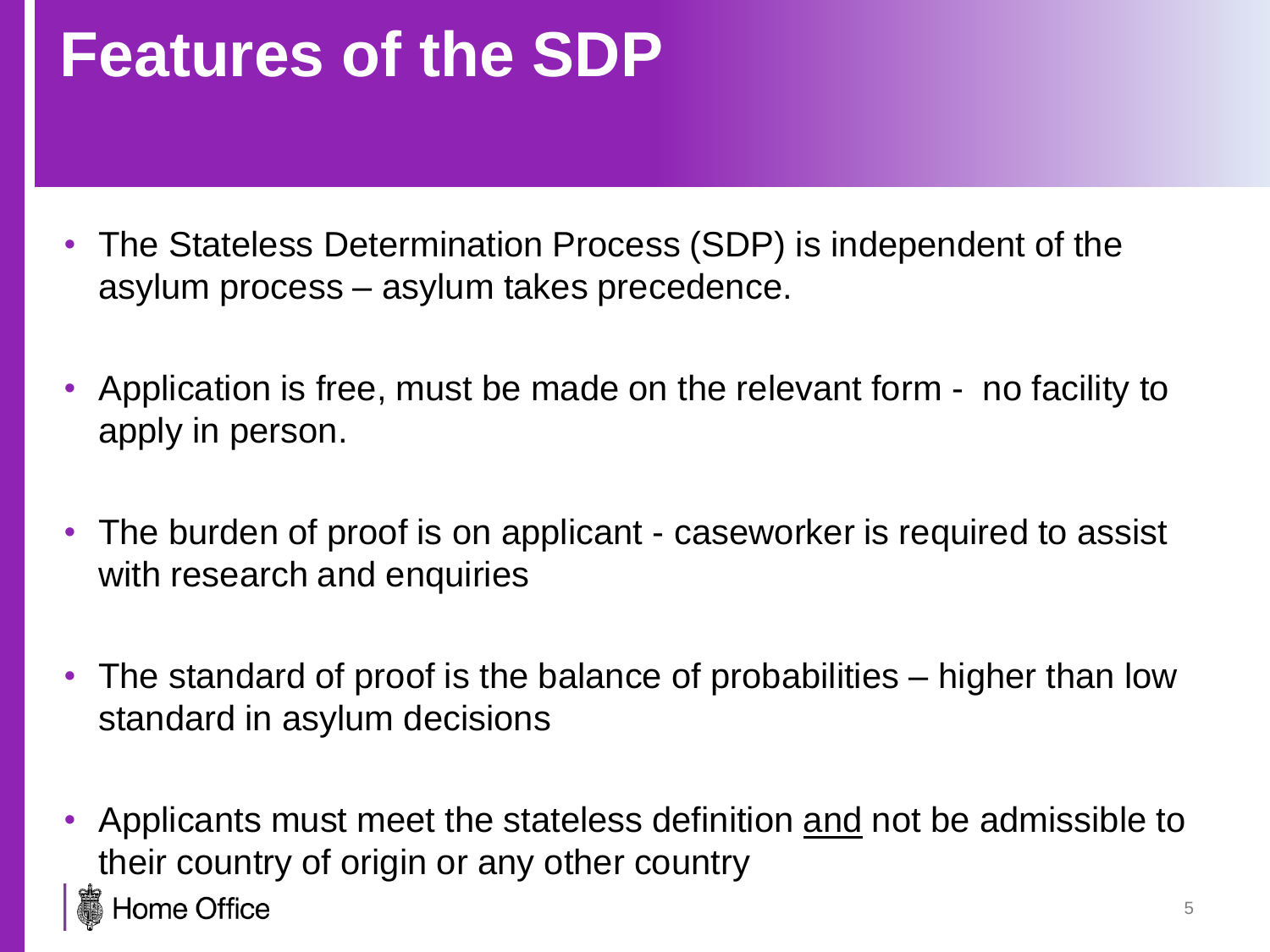#### **Features of the SDP**

- The Stateless Determination Process (SDP) is independent of the asylum process – asylum takes precedence.
- Application is free, must be made on the relevant form no facility to apply in person.
- The burden of proof is on applicant caseworker is required to assist with research and enquiries
- The standard of proof is the balance of probabilities higher than low standard in asylum decisions
- Applicants must meet the stateless definition and not be admissible to their country of origin or any other country **Home Office**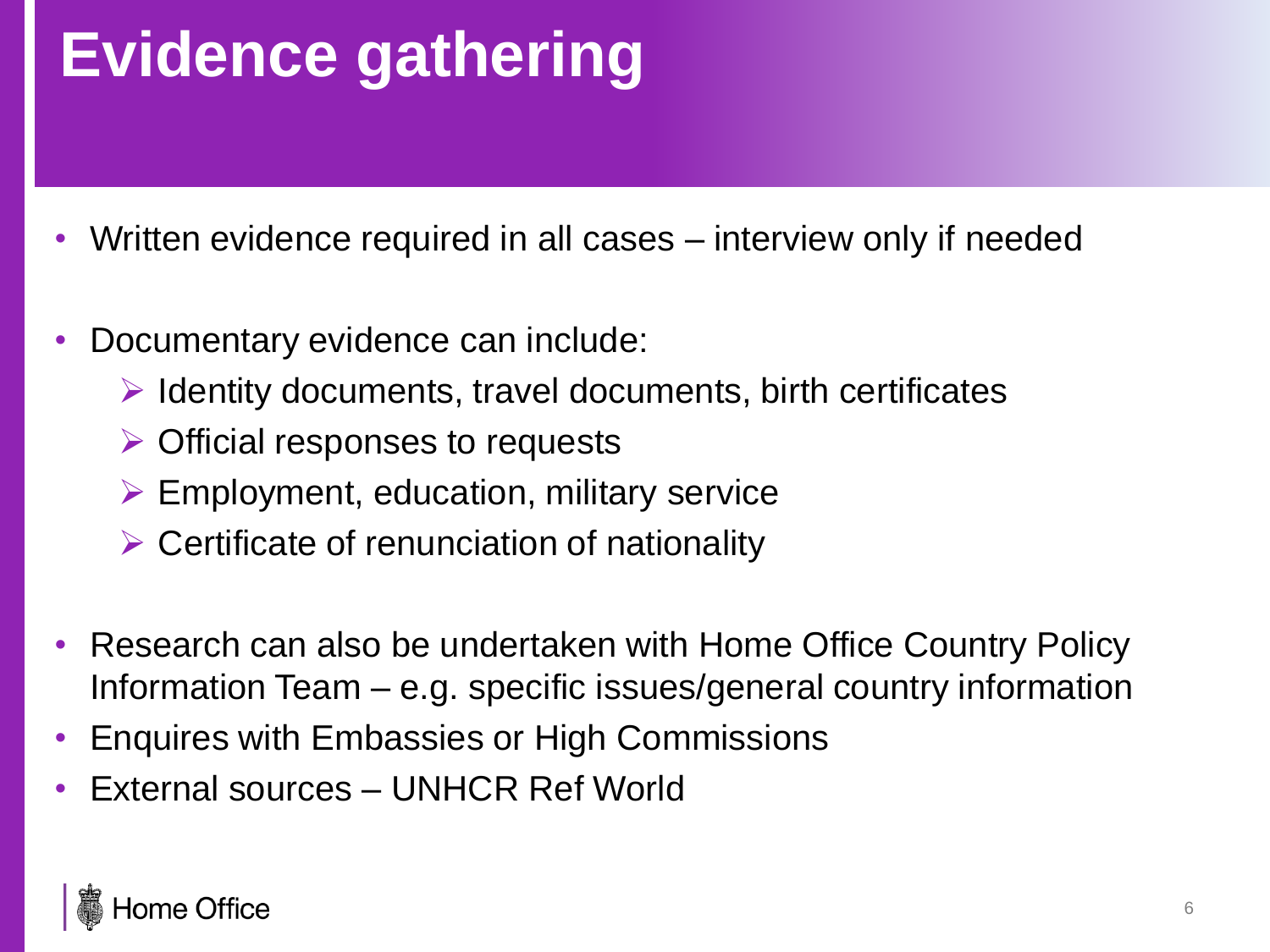## **Evidence gathering**

- Written evidence required in all cases interview only if needed
- Documentary evidence can include:
	- $\triangleright$  Identity documents, travel documents, birth certificates
	- $\triangleright$  Official responses to requests
	- $\triangleright$  Employment, education, military service
	- $\triangleright$  Certificate of renunciation of nationality
- Research can also be undertaken with Home Office Country Policy Information Team – e.g. specific issues/general country information
- Enquires with Embassies or High Commissions
- External sources UNHCR Ref World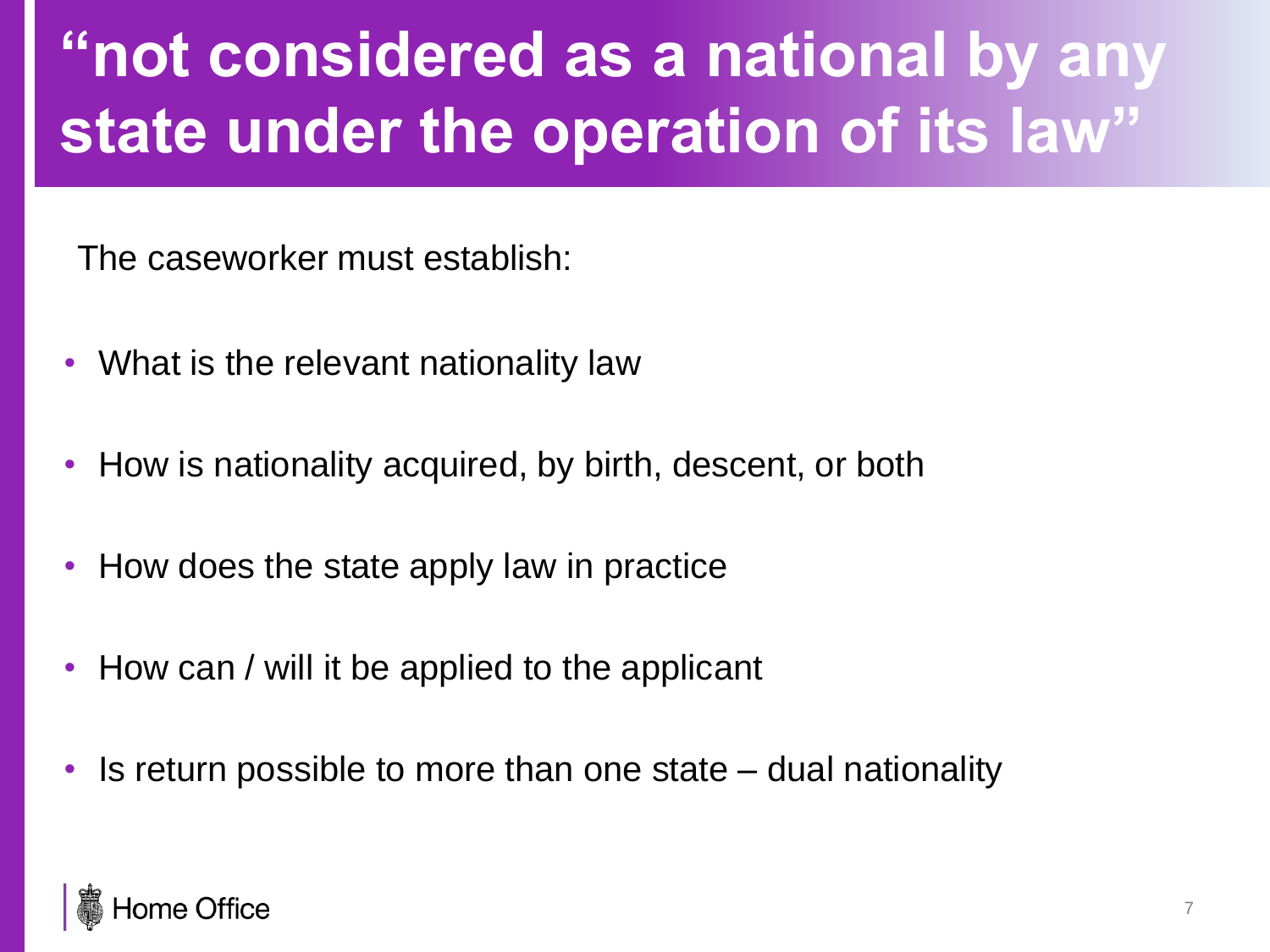### **"not considered as a national by any state under the operation of its law"**

The caseworker must establish:

- What is the relevant nationality law
- How is nationality acquired, by birth, descent, or both
- How does the state apply law in practice
- How can / will it be applied to the applicant
- Is return possible to more than one state dual nationality

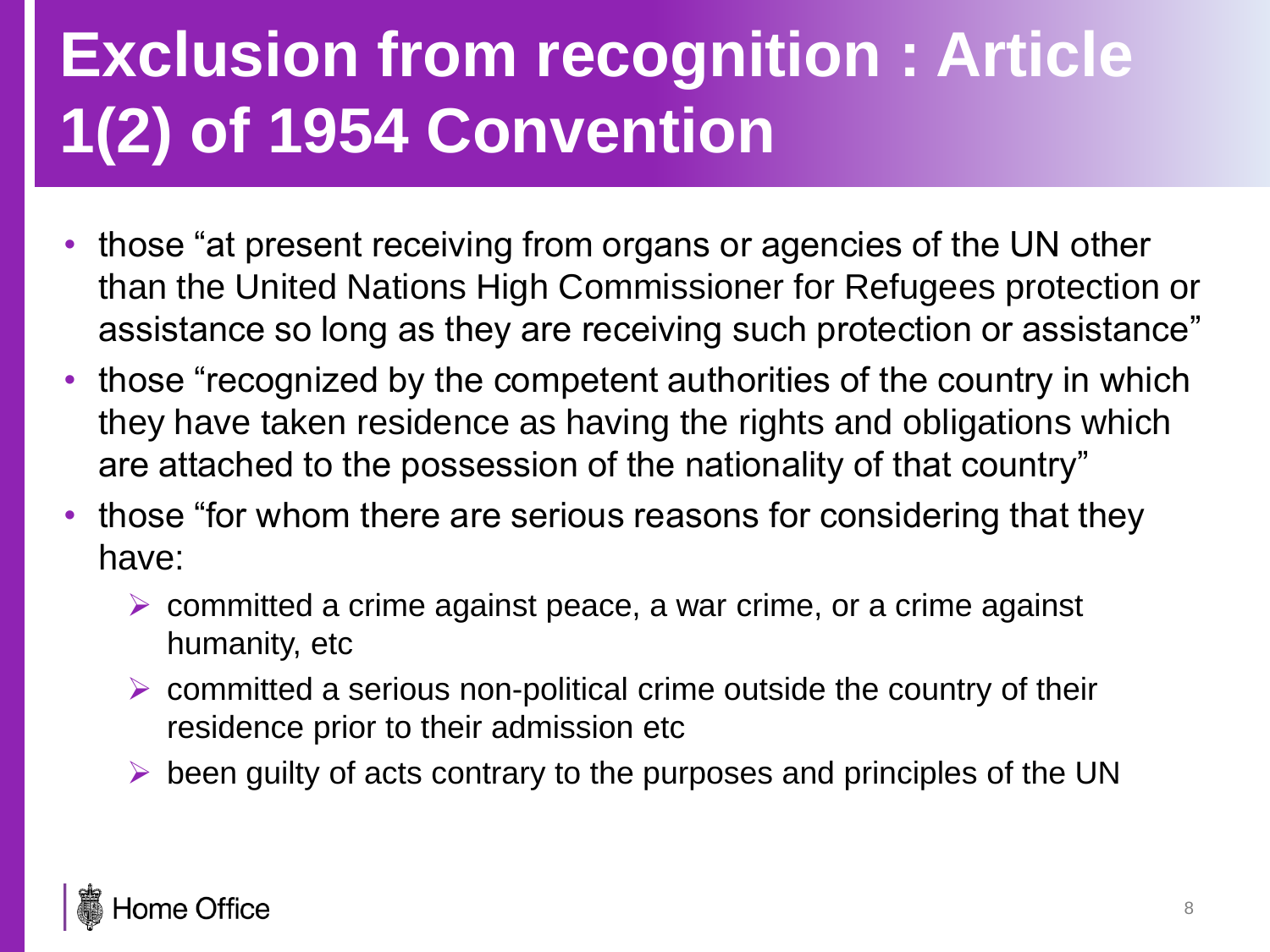## **Exclusion from recognition : Article 1(2) of 1954 Convention**

- those "at present receiving from organs or agencies of the UN other than the United Nations High Commissioner for Refugees protection or assistance so long as they are receiving such protection or assistance"
- those "recognized by the competent authorities of the country in which they have taken residence as having the rights and obligations which are attached to the possession of the nationality of that country"
- those "for whom there are serious reasons for considering that they have:
	- $\triangleright$  committed a crime against peace, a war crime, or a crime against humanity, etc
	- $\triangleright$  committed a serious non-political crime outside the country of their residence prior to their admission etc
	- $\triangleright$  been guilty of acts contrary to the purposes and principles of the UN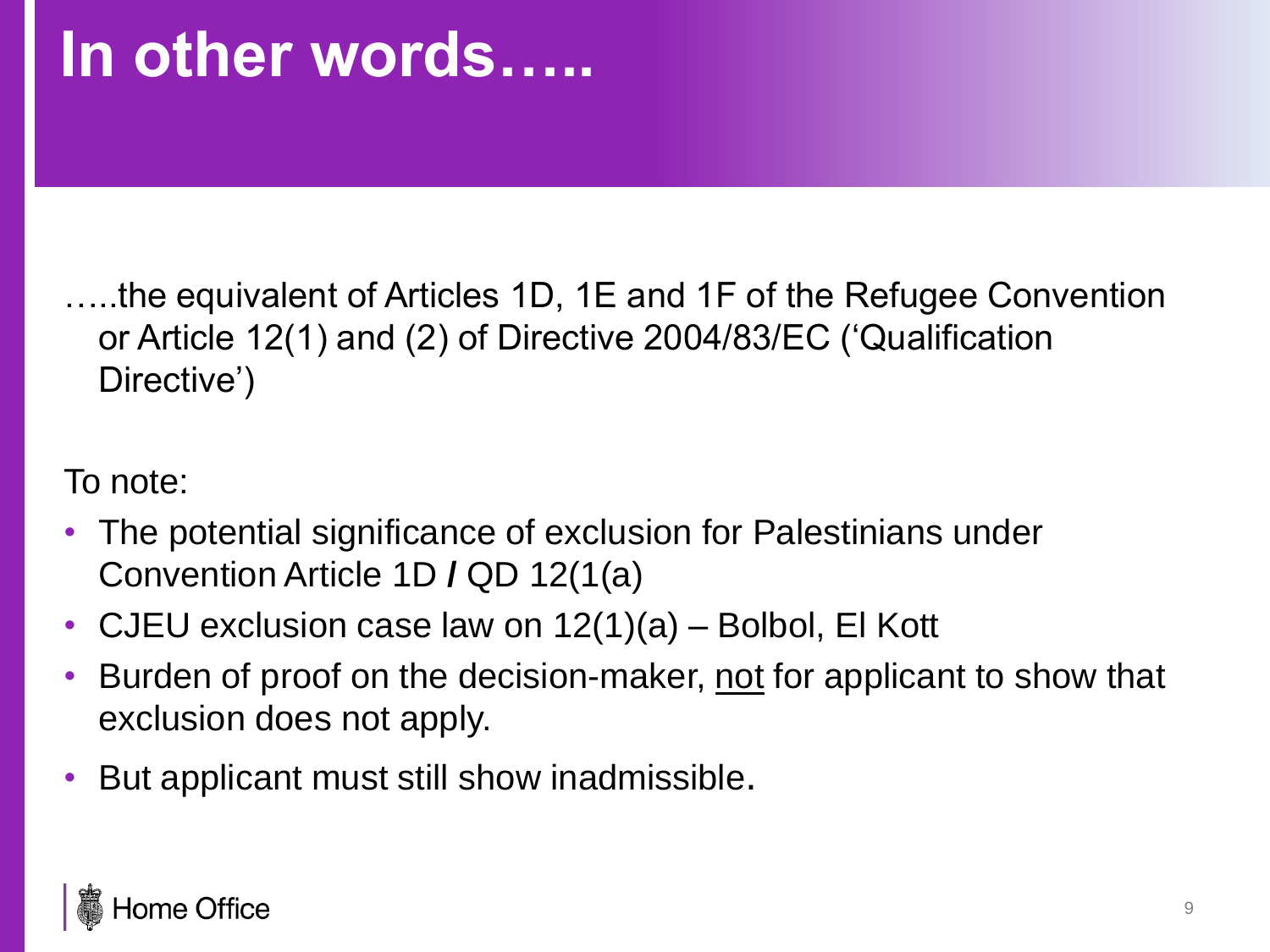#### **In other words…..**

…..the equivalent of Articles 1D, 1E and 1F of the Refugee Convention or Article 12(1) and (2) of Directive 2004/83/EC ('Qualification Directive')

To note:

- The potential significance of exclusion for Palestinians under Convention Article 1D **/** QD 12(1(a)
- CJEU exclusion case law on  $12(1)(a)$  Bolbol, El Kott
- Burden of proof on the decision-maker, not for applicant to show that exclusion does not apply.
- But applicant must still show inadmissible.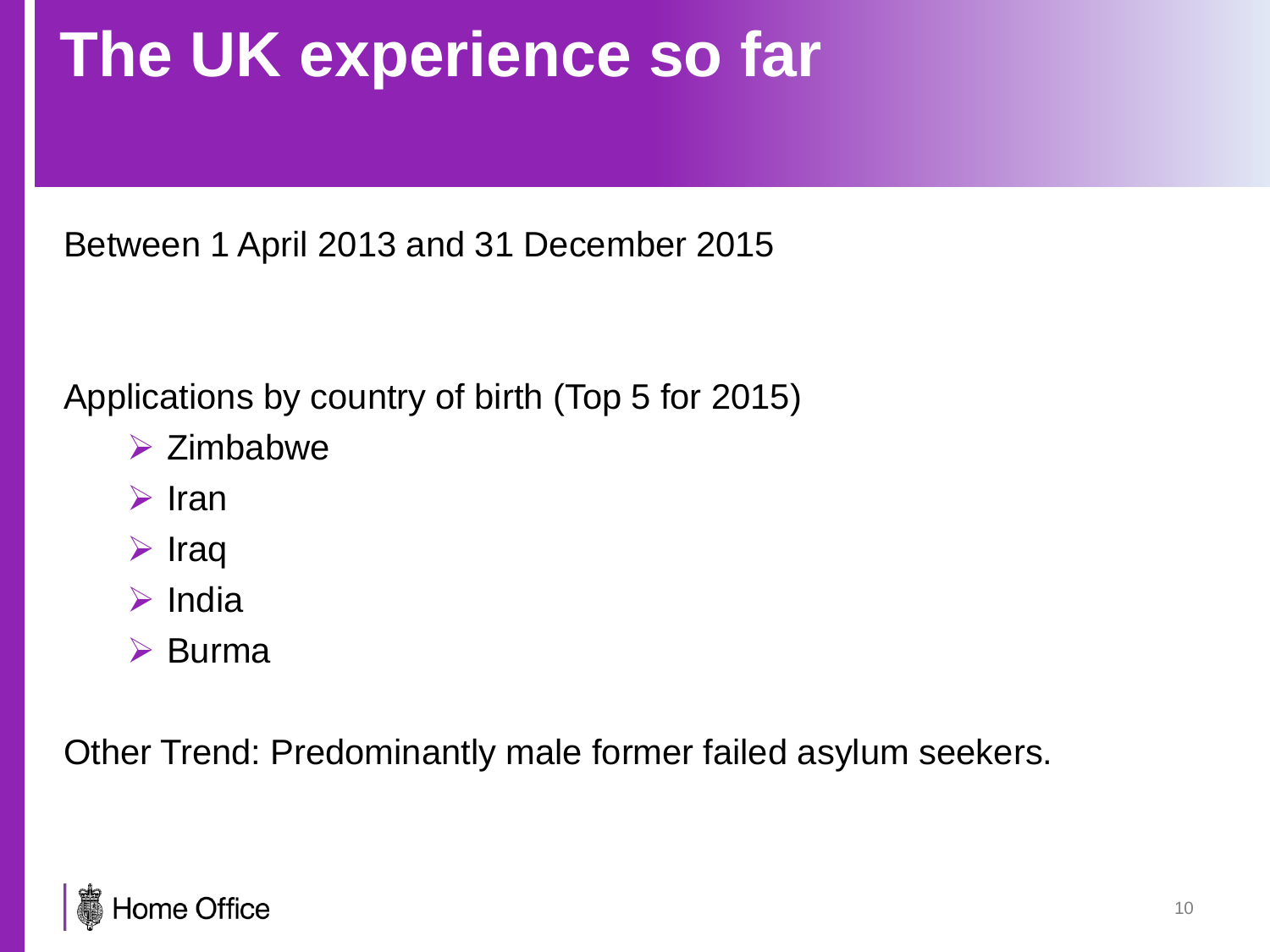### **The UK experience so far**

Between 1 April 2013 and 31 December 2015

Applications by country of birth (Top 5 for 2015)

- $\triangleright$  Zimbabwe
- $\triangleright$  Iran
- $\triangleright$  Iraq
- $\triangleright$  India
- $\triangleright$  Burma

Other Trend: Predominantly male former failed asylum seekers.